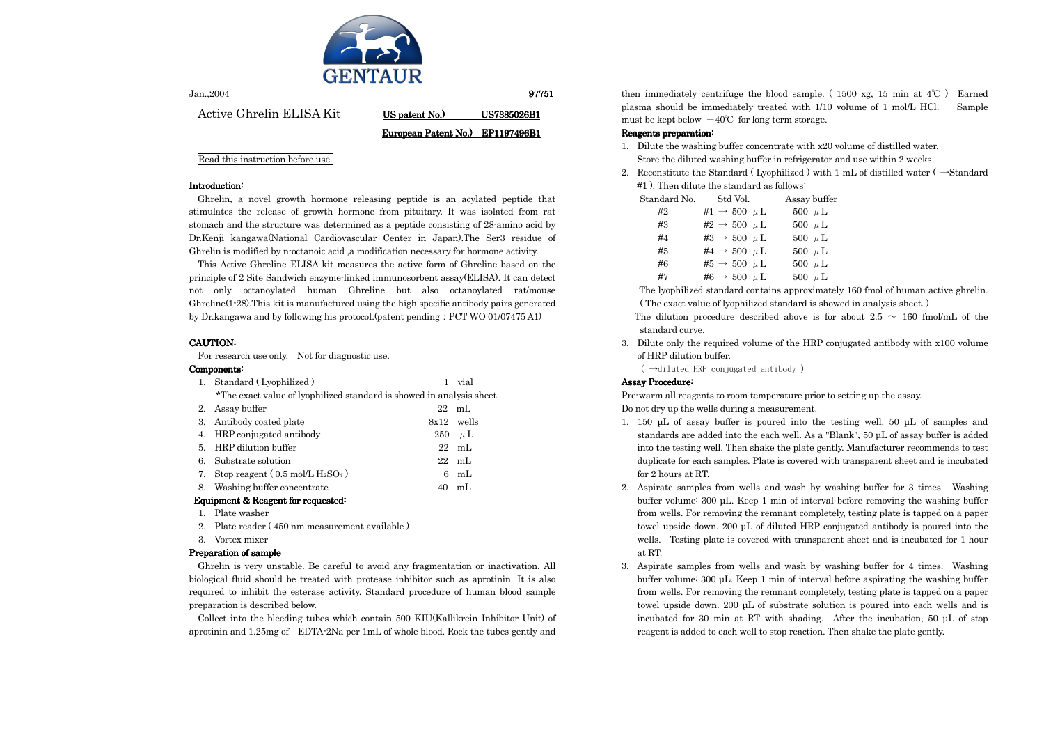

| Jan.,2004                |                                  | 97751              |
|--------------------------|----------------------------------|--------------------|
| Active Ghrelin ELISA Kit | US patent No.)                   | <b>US7385026B1</b> |
|                          | European Patent No.) EP1197496B1 |                    |

Read this instruction before use.

#### Introduction: Introduction:

This Active Ghreline ELISA kit measures the active form of Ghreline based on the principle of 2 Site Sandwich enzyme-linked immunosorbent assay(ELISA). It can detect not only octanoylated human Ghreline but also octanoylated rat/mouse Ghreline(1-28).This kit is manufactured using the high specific antibody pairs generated by Dr. kangawa and by following his protocol. (patent pending: PCT WO 01/07475 A1)

# CAUTION:

Ghrelin, a novel growth hormone releasing peptide is an acylated peptide that stimulates the release of growth hormone from pituitary. It was isolated from rat stomach and the structure was determined as a peptide consisting of 28-amino acid by Dr.Kenji kangawa(National Cardiovascular Center in Japan).The Ser3 residue of Ghrelin is modified by n-octanoic acid ,a modification necessary for hormone activity.

For research use only. Not for diagnostic use.

### Components: Components:

| 1.             | Standard (Lyophilized)                                                |     | vial           |  |  |
|----------------|-----------------------------------------------------------------------|-----|----------------|--|--|
|                | *The exact value of lyophilized standard is showed in analysis sheet. |     |                |  |  |
| 2.             | Assay buffer                                                          | 22  | mL             |  |  |
| 3.             | Antibody coated plate                                                 |     | 8x12 wells     |  |  |
|                | 4. HRP conjugated antibody                                            | 250 | $\mu$ L        |  |  |
| 5 <sub>1</sub> | HRP dilution buffer                                                   | 22  | m <sub>L</sub> |  |  |
| 6.             | Substrate solution                                                    | 22  | mL             |  |  |
| 7.             | Stop reagent $(0.5 \text{ mol/L H}_2\text{SO}_4)$                     | 6   | m <sub>L</sub> |  |  |
| 8.             | Washing buffer concentrate                                            | 40  | mL             |  |  |
|                |                                                                       |     |                |  |  |

## Equipment & Reagent for requested:

- 1. Plate washer
- 2. Plate reader ( 450 nm measurement available )
- 3. Vortex mixer

# Preparation of sample

- of HRP dilution buffer.
	- $($   $\rightarrow$ diluted HRP conjugated antibody)

# Assay Procedure:

Ghrelin is very unstable. Be careful to avoid any fragmentation or inactivation. All biological fluid should be treated with protease inhibitor such as aprotinin. It is also required to inhibit the esterase activity. Standard procedure of human blood sample preparation is described below.

Collect into the bleeding tubes which contain 500 KIU(Kallikrein Inhibitor Unit) of aprotinin and 1.25mg of EDTA-2Na per 1mL of whole blood. Rock the tubes gently and

then immediately centrifuge the blood sample. (  $1500$  xg,  $15$  min at  $4^{\circ}$ C ) Earned plasma should be immediately treated with 1/10 volume of 1 mol/L HCl. Sample must be kept below  $-40^{\circ}$  for long term storage.

# Reagents preparation:

- 1. Dilute the washing buffer concentrate with x20 volume of distilled water. Store the diluted washing buffer in refrigerator and use within 2 weeks.
- #1 ). Then dilute the standard as follows:

| Standard No. | Std Vol.                     | Assay buffer |
|--------------|------------------------------|--------------|
| #2           | #1 $\rightarrow$ 500 $\mu$ L | 500 $\mu$ L  |
| #3           | #2 $\rightarrow$ 500 $\mu$ L | 500 $\mu$ L  |
| #4           | #3 $\rightarrow$ 500 $\mu$ L | 500 $\mu$ L  |
| #5           | #4 $\rightarrow$ 500 $\mu$ L | 500 $\mu$ L  |
| #6           | #5 $\rightarrow$ 500 $\mu$ L | 500 $\mu$ L  |
| #7           | #6 $\rightarrow$ 500 $\mu$ L | 500 $\mu$ L  |

 The lyophilized standard contains approximately 160 fmol of human active ghrelin. ( The exact value of lyophilized standard is showed in analysis sheet. ) The dilution procedure described above is for about 2.5  $\sim$  160 fmol/mL of the standard curve.

3. Dilute only the required volume of the HRP conjugated antibody with x100 volume

Pre-warm all reagents to room temperature prior to setting up the assay. Do not dry up the wells during a measurement.

1. 150 µL of assay buffer is poured into the testing well. 50 µL of samples and standards are added into the each well. As a "Blank", 50 µL of assay buffer is added into the testing well. Then shake the plate gently. Manufacturer recommends to test duplicate for each samples. Plate is covered with transparent sheet and is incubated

- for 2 hours at RT.
- at RT.
- 

2. Reconstitute the Standard (Lyophilized) with 1 mL of distilled water ( $\rightarrow$ Standard

2. Aspirate samples from wells and wash by washing buffer for 3 times. Washing buffer volume: 300 µL. Keep 1 min of interval before removing the washing buffer from wells. For removing the remnant completely, testing plate is tapped on a paper towel upside down. 200 µL of diluted HRP conjugated antibody is poured into the wells. Testing plate is covered with transparent sheet and is incubated for 1 hour

3. Aspirate samples from wells and wash by washing buffer for 4 times. Washing buffer volume: 300 µL. Keep 1 min of interval before aspirating the washing buffer from wells. For removing the remnant completely, testing plate is tapped on a paper towel upside down. 200 µL of substrate solution is poured into each wells and is incubated for 30 min at RT with shading. After the incubation, 50 µL of stop reagent is added to each well to stop reaction. Then shake the plate gently.